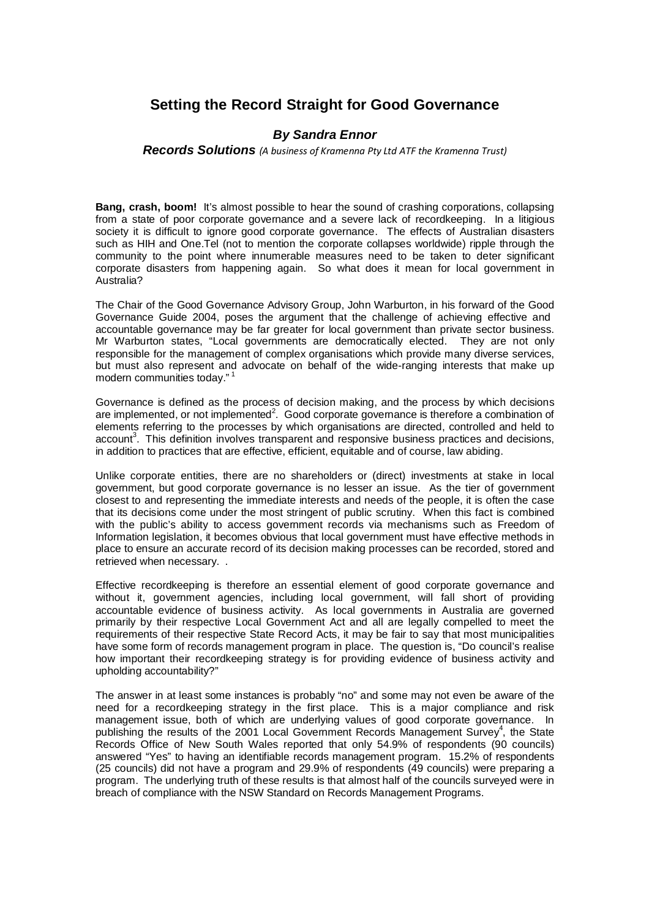## **Setting the Record Straight for Good Governance**

## **By Sandra Ennor**

**Records Solutions** (A business of Kramenna Pty Ltd ATF the Kramenna Trust)

**Bang, crash, boom!** It's almost possible to hear the sound of crashing corporations, collapsing from a state of poor corporate governance and a severe lack of recordkeeping. In a litigious society it is difficult to ignore good corporate governance. The effects of Australian disasters such as HIH and One.Tel (not to mention the corporate collapses worldwide) ripple through the community to the point where innumerable measures need to be taken to deter significant corporate disasters from happening again. So what does it mean for local government in Australia?

The Chair of the Good Governance Advisory Group, John Warburton, in his forward of the Good Governance Guide 2004, poses the argument that the challenge of achieving effective and accountable governance may be far greater for local government than private sector business. Mr Warburton states, "Local governments are democratically elected. They are not only responsible for the management of complex organisations which provide many diverse services, but must also represent and advocate on behalf of the wide-ranging interests that make up modern communities today."<sup>1</sup>

Governance is defined as the process of decision making, and the process by which decisions are implemented, or not implemented<sup>2</sup>. Good corporate governance is therefore a combination of elements referring to the processes by which organisations are directed, controlled and held to account<sup>3</sup>. This definition involves transparent and responsive business practices and decisions, in addition to practices that are effective, efficient, equitable and of course, law abiding.

Unlike corporate entities, there are no shareholders or (direct) investments at stake in local government, but good corporate governance is no lesser an issue. As the tier of government closest to and representing the immediate interests and needs of the people, it is often the case that its decisions come under the most stringent of public scrutiny. When this fact is combined with the public's ability to access government records via mechanisms such as Freedom of Information legislation, it becomes obvious that local government must have effective methods in place to ensure an accurate record of its decision making processes can be recorded, stored and retrieved when necessary. .

Effective recordkeeping is therefore an essential element of good corporate governance and without it, government agen[cies, includi](http://www.rs.net.au/)ng local government, will fall short of providing accountable evidence of business activity. As local governments in Australia are governed primarily by their respective Local Government Act and all are legally compelled to meet the requirements of their respective State Record Acts, it may be fair to say that most municipalities have some form of records management program in place. The question is, "Do council's realise how important their recordkeeping strategy is for providing evidence of business activity and upholding accountability?"

The answer in at least some instances is probably "no" and some may not even be aware of the need for a recordkeeping strategy in the first place. This is a major compliance and risk management issue, both of which are underlying values of good corporate governance. In publishing the results of the 2001 Local Government Records Management Survey<sup>4</sup>, the State Records Office of New South Wales reported that only 54.9% of respondents (90 councils) answered "Yes" to having an identifiable records management program. 15.2% of respondents (25 councils) did not have a program and 29.9% of respondents (49 councils) were preparing a program. The underlying truth of these results is that almost half of the councils surveyed were in breach of compliance with the NSW Standard on Records Management Programs.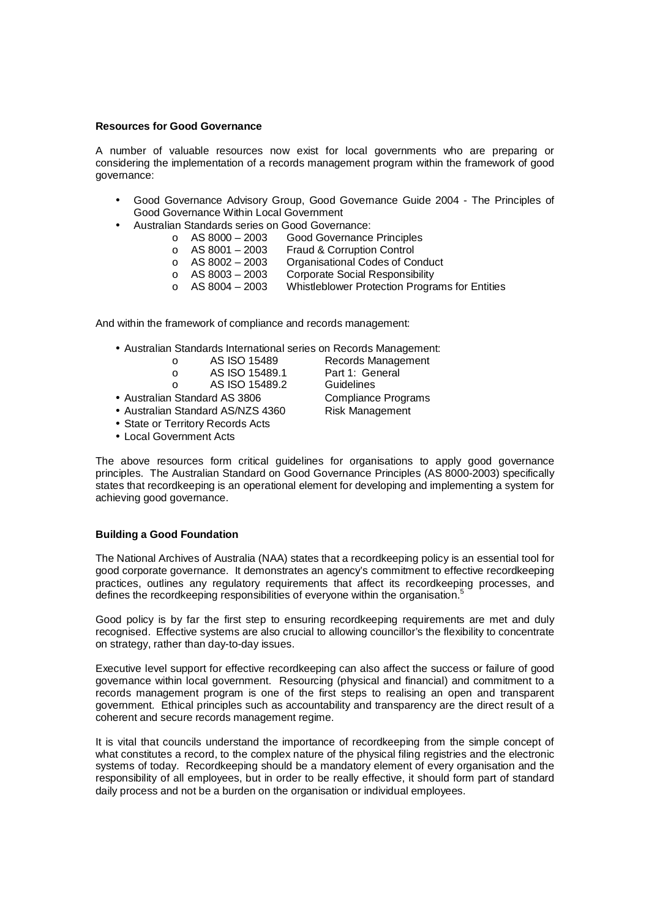## **Resources for Good Governance**

A number of valuable resources now exist for local governments who are preparing or considering the implementation of a records management program within the framework of good governance:

- Good Governance Advisory Group, Good Governance Guide 2004 The Principles of Good Governance Within Local Government
- Australian Standards series on Good Governance:
	- o AS 8000 2003 Good Governance Principles<br>○ AS 8001 2003 Fraud & Corruption Control
		- $\circ$  AS 8001 2003 Fraud & Corruption Control<br> $\circ$  AS 8002 2003 Organisational Codes of Co
		- o AS 8002 2003 Organisational Codes of Conduct
			-
		- $\circ$  AS 8003 2003 Corporate Social Responsibility<br>  $\circ$  AS 8004 2003 Whistleblower Protection Progra Whistleblower Protection Programs for Entities

And within the framework of compliance and records management:

- Australian Standards International series on Records Management:
	-
	- o AS ISO 15489.1 Part 1: General
	- o AS ISO 15489.2 Guidelines
	-
- Australian Standard AS/NZS 4360
- State or Territory Records Acts
- Local Government Acts

The above resources form critical guidelines for organisations to apply good governance principles. The Australian Standard on Good Governance Principles (AS 8000-2003) specifically states that recordkeeping is an operational element for developing and implementing a system for achieving good governance.

## **Building a Good Foundation**

The National Archives of Australia (NAA) states that a recordkeeping policy is an essential tool for good corporate governance. It demonstrates an agency's commitment to effective recordkeeping practices, outlines any regulatory requirements that affect its recordkeeping processes, and defines the recordkeeping responsibilities of everyone within the organisation.<sup>5</sup>

Good policy is by far the first step to ensuring recordkeeping requirements are met and duly recognised. Effective systems are also crucial to allowing councillor's the flexibility to concentrate on strategy, rather than day-to-day issues.

Executive level support for effective recordkeeping can also affect the success or failure of good governance within local government. Resourcing (physical and financial) and commitment to a records management program is one of the first steps to realising an open and transparent government. Ethical principles such as accountability and transparency are the direct result of a coherent and secure records management regime.

It is vital that councils understand the importance of recordkeeping from the simple concept of what constitutes a record, to the complex nature of the physical filing registries and the electronic systems of today. Recordkeeping should be a mandatory element of every organisation and the responsibility of all employees, but in order to be really effective, it should form part of standard daily process and not be a burden on the organisation or individual employees.

o AS ISO 15489 Records Management • Australian Standard AS 3806 Compliance Programs<br>• Australian Standard AS/NZS 4360 Risk Management